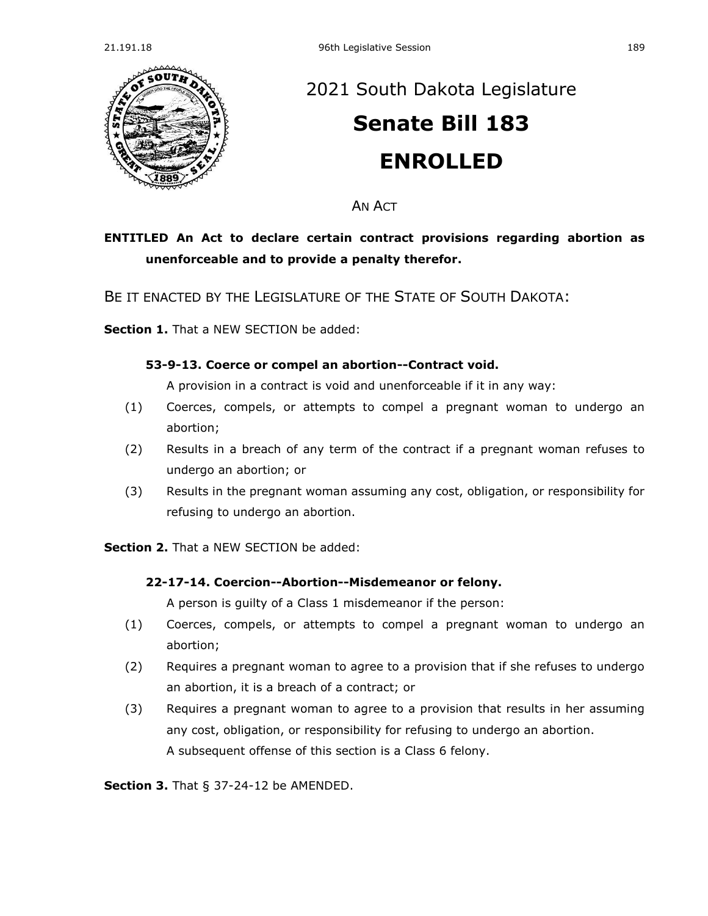

# [2021 South Dakota Legislature](https://sdlegislature.gov/Session/Bills/44) **[Senate Bill 183](https://sdlegislature.gov/Session/Bill/21911) ENROLLED**

AN ACT

## **ENTITLED An Act to declare certain contract provisions regarding abortion as unenforceable and to provide a penalty therefor.**

BE IT ENACTED BY THE LEGISLATURE OF THE STATE OF SOUTH DAKOTA:

**Section 1.** That a NEW SECTION be added:

#### **53-9-13. Coerce or compel an abortion--Contract void.**

A provision in a contract is void and unenforceable if it in any way:

- (1) Coerces, compels, or attempts to compel a pregnant woman to undergo an abortion;
- (2) Results in a breach of any term of the contract if a pregnant woman refuses to undergo an abortion; or
- (3) Results in the pregnant woman assuming any cost, obligation, or responsibility for refusing to undergo an abortion.

**Section 2.** That a NEW SECTION be added:

### **22-17-14. Coercion--Abortion--Misdemeanor or felony.**

A person is guilty of a Class 1 misdemeanor if the person:

- (1) Coerces, compels, or attempts to compel a pregnant woman to undergo an abortion;
- (2) Requires a pregnant woman to agree to a provision that if she refuses to undergo an abortion, it is a breach of a contract; or
- (3) Requires a pregnant woman to agree to a provision that results in her assuming any cost, obligation, or responsibility for refusing to undergo an abortion. A subsequent offense of this section is a Class 6 felony.

**Section 3.** [That § 37-24-12 be AMENDED.](https://sdlegislature.gov/Statutes/Codified_Laws/2061739)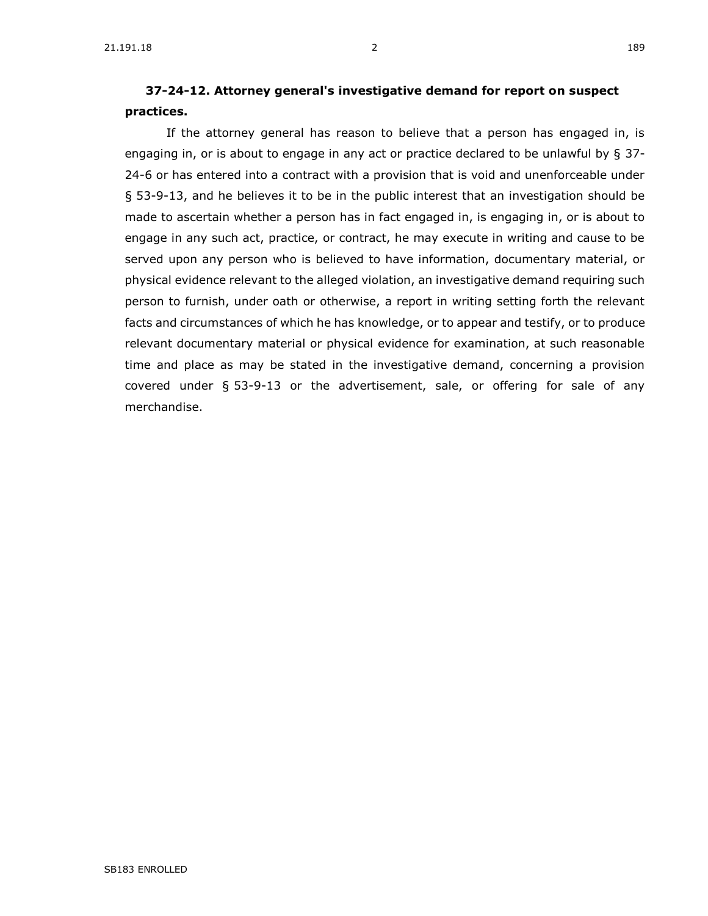## **[37-24-12. A](https://sdlegislature.gov/Statutes/Codified_Laws/DisplayStatute.aspx?Type=Statute&Statute=37-24-12)ttorney general's investigative demand for report on suspect practices.**

If the attorney general has reason to believe that a person has engaged in, is engaging in, or is about to engage in any act or practice declared to be unlawful by § [37-](https://sdlegislature.gov/Statutes/Codified_Laws/DisplayStatute.aspx?Type=Statute&Statute=37-24-6) [24-6](https://sdlegislature.gov/Statutes/Codified_Laws/DisplayStatute.aspx?Type=Statute&Statute=37-24-6) or has entered into a contract with a provision that is void and unenforceable under § 53-9-13, and he believes it to be in the public interest that an investigation should be made to ascertain whether a person has in fact engaged in, is engaging in, or is about to engage in any such act, practice, or contract, he may execute in writing and cause to be served upon any person who is believed to have information, documentary material, or physical evidence relevant to the alleged violation, an investigative demand requiring such person to furnish, under oath or otherwise, a report in writing setting forth the relevant facts and circumstances of which he has knowledge, or to appear and testify, or to produce relevant documentary material or physical evidence for examination, at such reasonable time and place as may be stated in the investigative demand, concerning a provision covered under § 53-9-13 or the advertisement, sale, or offering for sale of any merchandise.